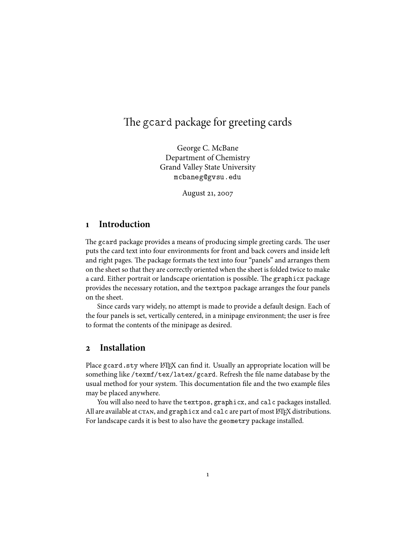# The gcard package for greeting cards

George C. McBane Department of Chemistry Grand Valley State University mcbaneg@gvsu.edu

August 21, 2007

#### **Introduction**

The gcard package provides a means of producing simple greeting cards. The user puts the card text into four environments for front and back covers and inside le and right pages. The package formats the text into four "panels" and arranges them on the sheet so that they are correctly oriented when the sheet is folded twice to make a card. Either portrait or landscape orientation is possible. The graphicx package provides the necessary rotation, and the textpos package arranges the four panels on the sheet.

Since cards vary widely, no attempt is made to provide a default design. Each of the four panels is set, vertically centered, in a minipage environment; the user is free to format the contents of the minipage as desired.

#### **Installation**

Place gcard.sty where LATEX can find it. Usually an appropriate location will be something like /texmf/tex/latex/gcard. Refresh the file name database by the usual method for your system. This documentation file and the two example files may be placed anywhere.

You will also need to have the textpos, graphicx, and calc packages installed. All are available at  $CTAN$ , and  $graphicx$  and  $calc$  are part of most  $\mathbb{F} \Gamma F X$  distributions. For landscape cards it is best to also have the geometry package installed.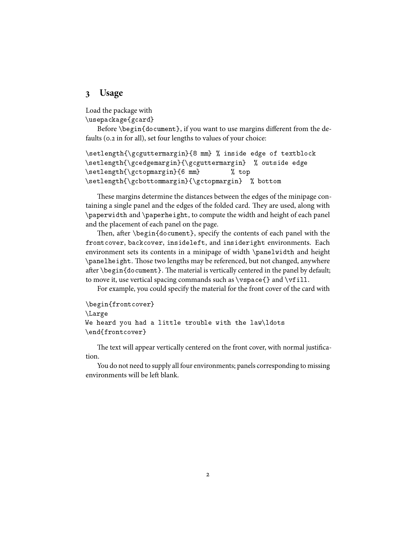#### **Usage**

Load the package with

\usepackage{gcard}

Before \begin{document}, if you want to use margins different from the defaults (0.2 in for all), set four lengths to values of your choice:

```
\setlength{\gcguttermargin}{8 mm} % inside edge of textblock
\setlength{\gcedgemargin}{\gcguttermargin} % outside edge
\setlength{\gctopmargin}{6 mm} % top
\setlength{\gcbottommargin}{\gctopmargin} % bottom
```
These margins determine the distances between the edges of the minipage containing a single panel and the edges of the folded card. They are used, along with \paperwidth and \paperheight, to compute the width and height of each panel and the placement of each panel on the page.

Then, after  $\begin{cases} \frac{d}{d\cdot} \frac{d\cdot d\cdot}{d\cdot} \frac{d\cdot d\cdot}{d\cdot} \frac{d\cdot d\cdot}{d\cdot} \frac{d\cdot d\cdot d\cdot}{d\cdot} \frac{d\cdot d\cdot d\cdot}{d\cdot d\cdot} \frac{d\cdot d\cdot d\cdot}{d\cdot d\cdot} \frac{d\cdot d\cdot d\cdot}{d\cdot d\cdot d\cdot} \frac{d\cdot d\cdot d\cdot d\cdot}{d\cdot d\cdot d\cdot d\cdot d\cdot} \frac{d\cdot d\cdot d\cdot d\cdot d\cdot}{d\cdot d\cdot d\cdot d\cdot d\cdot d\cdot d\cdot$ frontcover, backcover, insideleft, and insideright environments. Each environment sets its contents in a minipage of width \panelwidth and height \panelheight. Those two lengths may be referenced, but not changed, anywhere after  $\begin{array}{c}$  after  $\begin{array}{c}$  are meterial is vertically centered in the panel by default; to move it, use vertical spacing commands such as  $\vspace$  pace{} and  $\vt$ ill.

For example, you could specify the material for the front cover of the card with

```
\begin{frontcover}
\Large
We heard you had a little trouble with the law\ldots
\end{frontcover}
```
The text will appear vertically centered on the front cover, with normal justification.

You do not need to supply all four environments; panels corresponding to missing environments will be left blank.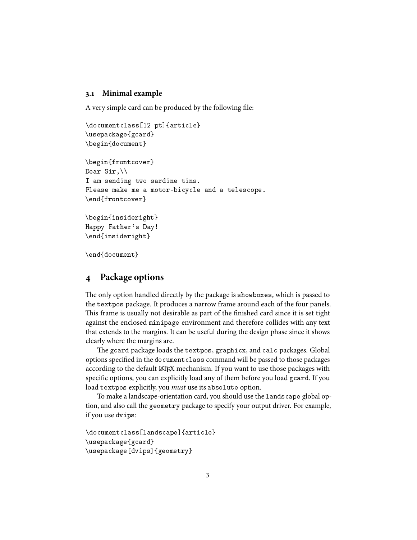#### **. Minimal example**

A very simple card can be produced by the following file:

```
\documentclass[12 pt]{article}
\usepackage{gcard}
\begin{document}
\begin{frontcover}
Dear Sir,\\
I am sending two sardine tins.
Please make me a motor-bicycle and a telescope.
\end{frontcover}
\begin{insideright}
Happy Father's Day!
\end{insideright}
```
\end{document}

### **Package options**

The only option handled directly by the package is showboxes, which is passed to the textpos package. It produces a narrow frame around each of the four panels. This frame is usually not desirable as part of the finished card since it is set tight against the enclosed minipage environment and therefore collides with any text that extends to the margins. It can be useful during the design phase since it shows clearly where the margins are.

The gcard package loads the textpos, graphicx, and calc packages. Global options specified in the documentclass command will be passed to those packages according to the default L<sup>AT</sup>EX mechanism. If you want to use those packages with specific options, you can explicitly load any of them before you load gcard. If you load textpos explicitly, you *must* use its absolute option.

To make a landscape-orientation card, you should use the landscape global option, and also call the geometry package to specify your output driver. For example, if you use dvips:

```
\documentclass[landscape]{article}
\usepackage{gcard}
\usepackage[dvips]{geometry}
```